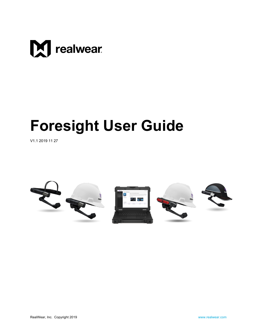

# **Foresight User Guide**

V1.1 2019 11 27

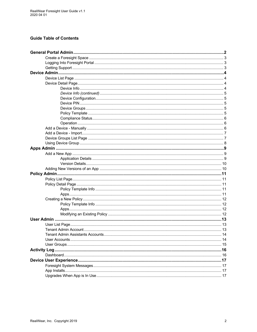#### **Guide Table of Contents**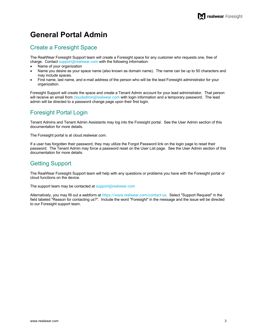# <span id="page-2-0"></span>**[General Portal Admin](#page-16-3)**

### <span id="page-2-1"></span>[Creat](#page-16-3)e a Foresight Space

The RealWear Foresight Support team will create a Foresight space for any customer who requests one, free of charge. Contact [support@realwear.com](mailto:support@realwear.com) with the following information:

- Name of your organization
- Name you desire as your space name (also known as domain name). The name can be up to 50 characters and may include spaces.
- First name, last name, and e-mail address of the person who will be the lead Foresight administrator for your organization.

Foresight Support will create the space and create a Tenant Admin account for your lead administrator. That person will receive an email from [cloudadmin@realwear.com](mailto:cloudadmin@realwear.com) with login information and a temporary password. The lead admin will be directed to a password change page upon their first login.

### <span id="page-2-2"></span>Foresight Portal Login

Tenant Admins and Tenant Admin Assistants may log into the Foresight portal. See the User Admin section of this documentation for more details.

The Foresight portal is at cloud.realwear.com.

If a user has forgotten their password, they may utilize the Forgot Password link on the login page to reset their password. The Tenant Admin may force a password reset on the User List page. See the User Admin section of this documentation for more details.

### <span id="page-2-3"></span>Getting Support

The RealWear Foresight Support team will help with any questions or problems you have with the Foresight portal or cloud functions on the device.

The support team may be contacted at [support@realwear.com](mailto:support@realwear.com)

Alternatively, you may fill out a webform at <https://www.realwear.com/contact-us>. Select "Support Request" in the field labeled "Reason for contacting us?". Include the word "Foresight" in the message and the issue will be directed to our Foresight support team.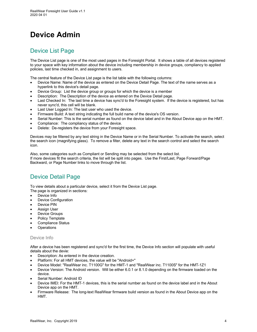# <span id="page-3-0"></span>**Device Admin**

### <span id="page-3-1"></span>Device List Page

The Device List page is one of the most used pages in the Foresight Portal. It shows a table of all devices registered to your space with key information about the device including membership in device groups, compliancy to applied policies, last time checked in, and assignment to users.

The central feature of the Device List page is the list table with the following columns:

- Device Name: Name of the device as entered on the Device Detail Page. The text of the name serves as a hyperlink to this device's detail page.
- Device Group: List the device group or groups for which the device is a member
- Description: The Description of the device as entered on the Device Detail page.
- Last Checked In: The last time a device has sync'd to the Foresight system. If the device is registered, but has never sync'd, this cell will be blank.
- Last User Logged In: The last user who used the device.
- Firmware Build: A text string indicating the full build name of the device's OS version.
- Serial Number: This is the serial number as found on the device label and in the About Device app on the HMT.
- Compliance: The compliancy status of the device.
- Delete: De-registers the device from your Foresight space.

Devices may be filtered by any text string in the Device Name or in the Serial Number. To activate the search, select the search icon (magnifying glass). To remove a filter, delete any text in the search control and select the search icon.

Also, some categories such as Compliant or Sending may be selected from the select list. If more devices fit the search criteria, the list will be split into pages. Use the First/Last, Page Forward/Page Backward, or Page Number links to move through the list.

### <span id="page-3-2"></span>Device Detail Page

To view details about a particular device, select it from the Device List page.

The page is organized in sections:

- Device Info
- Device Configuration
- Device PIN
- **Assign User**
- Device Groups
- Policy Template
- Compliance Status
- **Operations**

#### <span id="page-3-3"></span>Device Info

After a device has been registered and sync'd for the first time, the Device Info section will populate with useful details about the devie:

- Description: As entered in the device creation.
- Platform: For all HMT devices, the value will be "Android+"
- Device Model: "RealWear inc. T1100G" for the HMT-1 and "RealWear inc. T1100S" for the HMT-1Z1
- Device Version: The Android version. Will be either 6.0.1 or 8.1.0 depending on the firmware loaded on the device.
- Serial Number: Android ID
- Device IMEI: For the HMT-1 devices, this is the serial number as found on the device label and in the About Device app on the HMT.
- Firmware Release: The long-text RealWear firmware build version as found in the About Device app on the HMT.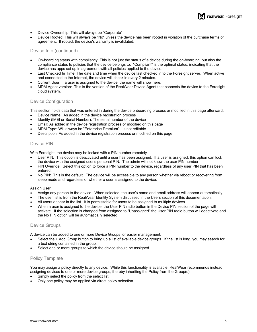- Device Ownership: This will always be "Corporate"
- Device Rooted: This will always be "No" unless the device has been rooted in violation of the purchase terms of agreement. If rooted, the device's warranty is invalidated.

#### <span id="page-4-0"></span>Device Info (continued)

- On-boarding status with compliancy: This is not just the status of a device during the on-boarding, but also the compliance status to policies that the device belongs to. "Compliant" is the optimal status, indicating that the device has apps set up in agreement with all policies applied to the device.
- Last Checked In Time: The date and time when the device last checked in to the Foresight server. When active and connected to the Internet, the device will check in every 2 minutes.
- Current User: If a user is assigned to the device, the name will show here.
- MDM Agent version: This is the version of the RealWear Device Agent that connects the device to the Foresight cloud system.

#### <span id="page-4-1"></span>Device Configuration

This section holds data that was entered in during the device onboarding process or modified in this page afterward.

- Device Name: As added in the device registration process
- Identity (IMEI or Serial Number): The serial number of the device
- Email: As added in the device registration process or modified on this page
- MDM Type: Will always be "Enterprise Premium". Is not editable
- Description: As added in the device registration process or modified on this page

#### <span id="page-4-2"></span>Device PIN

With Foresight, the device may be locked with a PIN number remotely.

- User PIN: This option is deactivated until a user has been assigned. If a user is assigned, this option can lock the device with the assigned user's personal PIN. The admin will not know the user PIN number.
- PIN Override: Select this option to force a PIN number to the device, regardless of any user PIN that has been entered.
- No PIN: This is the default. The device will be accessible to any person whether via reboot or recovering from sleep mode and regardless of whether a user is assigned to the device.

#### Assign User

- Assign any person to the device. When selected, the user's name and email address will appear automatically.
- The user list is from the RealWear Identity System discussed in the Users section of this documentation.
- All users appear in the list. It is permissable for users to be assigned to multiple devices.
- When a user is assigned to the device, the User PIN radio button in the Device PIN section of the page will activate. If the selection is changed from assigned to "Unassigned" the User PIN radio button will deactivate and the No PIN option will be automatically selected.

#### <span id="page-4-3"></span>Device Groups

A device can be added to one or more Device Groups for easier management,

- Select the + Add Group button to bring up a list of available device groups. If the list is long, you may search for a text string contained in the group.
- Select one or more groups to which the device should be assigned.

#### <span id="page-4-4"></span>Policy Template

You may assign a policy directly to any device. While this functionality is available, RealWear recommends instead assigning devices to one or more device groups, thereby inheriting the Policy from the Group(s).

- Simply select the policy from the select list.
- Only one policy may be applied via direct policy selection.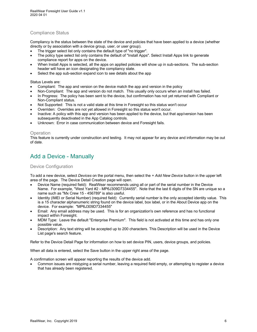#### <span id="page-5-0"></span>Compliance Status

Compliancy is the status between the state of the device and policies that have been applied to a device (whether directly or by association with a device group, user, or user group).

- The trigger select list only contains the default type of "no trigger".
- The policy type select list only contains the default of "Install Apps". Select Install Apps link to generate compliance report for apps on the device.
- When Install Apps is selected, all the apps on applied policies will show up in sub-sections. The sub-section header will have an icon designating the compliancy state.
- Select the app sub-section expand icon to see details about the app

Status Levels are:

- Compliant: The app and version on the device match the app and version in the policy
- Non-Compliant: The app and version do not match. This usually only occurs when an install has failed.
- In Progress: The policy has been sent to the device, but confirmation has not yet returned with Compliant or Non-Compliant status.
- Not Supported: This is not a valid state at this time in Foresight so this status won't occur
- Overriden: Overrides are not yet allowed in Foresight so this status won't occur.
- Inactive: A policy with this app and version has been applied to the device, but that app/version has been subsequently deactivated in the App Catalog controls.
- Unknown: Error in case communication between device and Foresight fails.

#### <span id="page-5-1"></span>**Operation**

This feature is currently under construction and testing. It may not appear for any device and information may be out of date.

### <span id="page-5-2"></span>Add a Device - Manually

#### Device Configuration

To add a new device, select *Devices* on the portal menu, then select the *+ Add New Device* button in the upper left area of the page. The Device Detail Creation page will open.

- Device Name (required field): RealWear recommends using all or part of the serial number in the Device Name. For example, "West Yard #2 - MP6J309D7334455". Note that the last 6 digits of the SN are unique so a name such as "Mx Crew 15 - 456789" is also useful.
- Identity (IMEI or Serial Number) (required field): Currently serial number is the only accepted identity value. This is a 15 character alphanumeric string found on the device label, box label, or in the About Device app on the device. For example: "MP6J309D7334455"
- Email: Any email address may be used. This is for an organization's own reference and has no functional impact within Foresight.
- MDM Type: Leave the default "Enterprise Premium". This field is not activated at this time and has only one possible value.
- Description: Any text string will be accepted up to 200 characters. This Description will be used in the Device List page's search feature.

Refer to the Device Detail Page for information on how to set device PIN, users, device groups, and policies.

When all data is entered, select the Save button in the upper right area of the page.

A confirmation screen will appear reporting the results of the device add.

• Common issues are mistyping a serial number, leaving a required field empty, or attempting to register a device that has already been registered.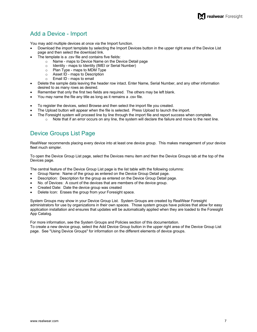### <span id="page-6-0"></span>Add a Device - Import

You may add multiple devices at once via the Import function.

- Download the import template by selecting the Import Devices button in the upper right area of the Device List page and then select the download link.
- The template is a .csv file and contains five fields:
	- o Name maps to Device Name on the Device Detail page
	- $\circ$  Identity maps to Identity (IMEI or Serial Number)<br>  $\circ$  Plan Type maps to MDM Type
	- Plan Type maps to MDM Type
	- o Asset ID maps to Description
	- o Email ID maps to email
- Delete the sample data leaving the header row intact. Enter Name, Serial Number, and any other information desired to as many rows as desired.
- Remember that only the first two fields are required. The others may be left blank.
- You may name the file any title as long as it remains a .csv file.
- To register the devices, select Browse and then select the import file you created.
- The Upload button will appear when the file is selected. Press Upload to launch the import.
- The Foresight system will proceed line by line through the import file and report success when complete.
	- $\circ$  Note that if an error occurs on any line, the system will declare the failure and move to the next line.

### <span id="page-6-1"></span>Device Groups List Page

RealWear recommends placing every device into at least one device group. This makes management of your device fleet much simpler.

To open the Device Group List page, select the Devices menu item and then the Device Groups tab at the top of the Devices page.

The central feature of the Device Group List page is the list table with the following columns:

- Group Name: Name of the group as entered on the Device Group Detail page.
- Description: Description for the group as entered on the Device Group Detail page.
- No. of Devices: A count of the devices that are members of the device group.
- Created Date: Date the device group was created
- Delete Icon: Erases the group from your Foresight space.

System Groups may show in your Device Group List. System Groups are created by RealWear Foresight administrators for use by organizations in their own spaces. Those system groups have policies that allow for easy application installation and ensures that updates will be automatically applied when they are loaded to the Foresight App Catalog.

For more information, see the System Groups and Policies section of this documentation. To create a new device group, select the Add Device Group button in the upper right area of the Device Group List page. See "Using Device Groups" for information on the different elements of device groups.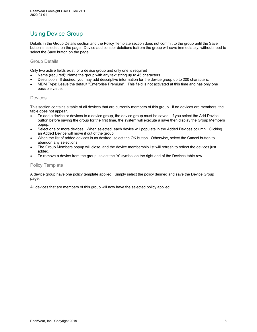### <span id="page-7-0"></span>Using Device Group

Details in the Group Details section and the Policy Template section does not commit to the group until the Save button is selected on the page. Device additions or deletions to/from the group will save immediately, without need to select the Save button on the page.

#### Group Details

Only two active fields exist for a device group and only one is required

- Name (required): Name the group with any text string up to 45 characters.
- Description: If desired, you may add descriptive information for the device group up to 200 characters.
- MDM Type: Leave the default "Enterprise Premium". This field is not activated at this time and has only one possible value.

#### **Devices**

This section contains a table of all devices that are currently members of this group. If no devices are members, the table does not appear.

- To add a device or devices to a device group, the device group must be saved. If you select the Add Device button before saving the group for the first time, the system will execute a save then display the Group Members popup.
- Select one or more devices. When selected, each device will populate in the Added Devices column. Clicking an Added Device will move it out of the group.
- When the list of added devices is as desired, select the OK button. Otherwise, select the Cancel button to abandon any selections.
- The Group Members popup will close, and the device membership list will refresh to reflect the devices just added.
- To remove a device from the group, select the "x" symbol on the right end of the Devices table row.

#### Policy Template

A device group have one policy template applied. Simply select the policy desired and save the Device Group page.

All devices that are members of this group will now have the selected policy applied.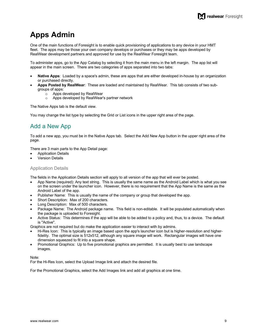# <span id="page-8-0"></span>**Apps Admin**

One of the main functions of Foresight is to enable quick provisioning of applications to any device in your HMT fleet. The apps may be those your own company develops or purchases or they may be apps developed by RealWear development partners and approved for use by the RealWear Foresight team.

To administer apps, go to the App Catalog by selecting it from the main menu in the left margin. The app list will appear in the main screen. There are two categories of apps separated into two tabs:

- **Native Apps**: Loaded by a space's admin, these are apps that are either developed in-house by an organization or purchased directly.
- **Apps Posted by RealWear**: These are loaded and maintained by RealWear. This tab consists of two subgroups of apps:
	- o Apps developed by RealWear
	- o Apps developed by RealWear's partner network

The Native Apps tab is the default view.

You may change the list type by selecting the Grid or List icons in the upper right area of the page.

### <span id="page-8-1"></span>Add a New App

To add a new app, you must be in the Native Apps tab. Select the Add New App button in the upper right area of the page.

There are 3 main parts to the App Detail page:

- Application Details
- **Version Details**

#### <span id="page-8-2"></span>Application Details

The fields in the Application Details section will apply to all version of the app that will ever be posted.

- App Name (required): Any text string. This is usually the same name as the Android Label which is what you see on the screen under the launcher icon. However, there is no requirement that the App Name is the same as the Android Label of the app.
- Publisher Name: This is usually the name of the company or group that developed the app.
- Short Description: Max of 200 characters.
- Long Description: Max of 500 characters.
- Package Name: The Android package name. This field is non-editable. It will be populated automatically when the package is uploaded to Foresight.
- Active Status: This determines if the app will be able to be added to a policy and, thus, to a device. The default is "Active".

Graphics are not required but do make the application easier to interact with by admins.

- Hi-Res Icon: This is typically an image based upon the app's launcher icon but is higher-resolution and higherfidelity. The optimal size is 512x512, although any square image will work. Rectangular images will have one dimension squeezed to fit into a square shape.
- Promotional Graphics: Up to five promotional graphics are permitted. It is usually best to use landscape images.

Note:

For the Hi-Res Icon, select the Upload Image link and attach the desired file.

For the Promotional Graphics, select the Add Images link and add all graphics at one time.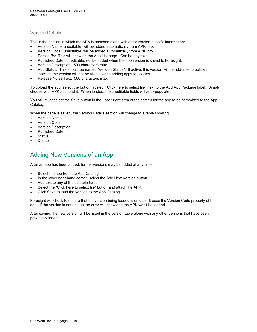#### <span id="page-9-0"></span>Version Details

This is the section in which the APK is attached along with other version-specific information:

- Version Name: uneditable, will be added automatically from APK info.
- Version Code: uneditable, will be added automatically from APK info.
- Posted By: This will show on the App List page. Can be any text.
- Published Date: uneditable, will be added when the app version is saved to Foresight.
- Version Description: 500 characters max.
- App Status: This should be named "Version Status". If active, this version will be add-able to policies. If inactive, the version will not be visible when adding apps to policies.
- Release Notes Text: 500 characters max.

To upload the app, select the button labeled, "Click here to select file" next to the Add App Package label. Simply choose your APK and load it. When loaded, the uneditable fields will auto-populate.

You still must select the Save button in the upper right area of the screen for the app to be committed to the App Catalog.

When the page is saved, the Version Details section will change to a table showing:

- Version Name
- Version Code
- Version Description
- Published Date
- **Status**
- <span id="page-9-1"></span>• Delete

### Adding New Versions of an App

After an app has been added, further versions may be added at any time.

- Select the app from the App Catalog
- In the lower right-hand corner, select the Add New Version button
- Add text to any of the editable fields.
- Select the "Click here to select file" button and attach the APK.
- Click Save to load the version to the App Catalog

Foresight will check to ensure that the version being loaded is unique. It uses the Version Code property of the app. If the version is not unique, an error will show and the APK won't be loaded.

After saving, the new version will be listed in the version table along with any other versions that have been previously loaded.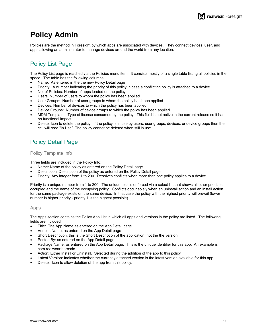# <span id="page-10-0"></span>**Policy Admin**

Policies are the method in Foresight by which apps are associated with devices. They connect devices, user, and apps allowing an administrator to manage devices around the world from any location.

### <span id="page-10-1"></span>Policy List Page

The Policy List page is reached via the Policies menu item. It consists mostly of a single table listing all policies in the space. The table has the following columns:

- Name: As entered in the the new Policy Detail page
- Priority: A number indicating the priority of this policy in case a conflicting policy is attached to a device.
- No. of Policies: Number of apps loaded on the policy
- Users: Number of users to whom the policy has been applied
- User Groups: Number of user groups to whom the policy has been applied
- Devices: Number of devices to which the policy has been applied
- Device Groups: Number of device groups to which the policy has been applied
- MDM Templates: Type of license consumed by the policy. This field is not active in the current release so it has no functional impact
- Delete: Icon to delete the policy. If the policy is in use by users, user groups, devices, or device groups then the cell will read "In Use". The policy cannot be deleted when still in use.

### <span id="page-10-2"></span>Policy Detail Page

#### <span id="page-10-3"></span>Policy Template Info

Three fields are included in the Policy Info:

- Name: Name of the policy as entered on the Policy Detail page.
- Description: Description of the policy as entered on the Policy Detail page.
- Priority: Any integer from 1 to 200. Resolves conflicts when more than one policy applies to a device.

Priority is a unique number from 1 to 200. The uniqueness is enforced via a select list that shows all other priorities occupied and the name of the occupying policy. Conflicts occur solely when an uninstall action and an install action for the same package exists on the same device. In that case the policy with the highest priority will prevail (lower number is higher priority - priority 1 is the highest possible).

#### <span id="page-10-4"></span>Apps

The Apps section contains the Policy App List in which all apps and versions in the policy are listed. The following fields are included:

- Title: The App Name as entered on the App Detail page.
- Version Name: as entered on the App Detail page
- Short Description: this is the Short Description of the application, not the the version
- Posted By: as entered on the App Detail page
- Package Name: as entered on the App Detail page. This is the unique identifier for this app. An example is com.realwear.barcode
- Action: Either Install or Uninstall. Selected during the addition of the app to this policy
- Latest Version: Indicates whether the currently attached version is the latest version available for this app.
- Delete: Icon to allow deletion of the app from this policy.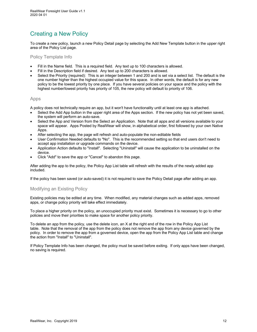### <span id="page-11-0"></span>Creating a New Policy

To create a new policy, launch a new Policy Detail page by selecting the Add New Template button in the upper right area of the Policy List page.

<span id="page-11-1"></span>Policy Template Info

- Fill in the Name field. This is a required field. Any text up to 100 characters is allowed.
- Fill in the Description field if desired. Any text up to 200 characters is allowed.
- Select the Priority (required): This is an integer between 1 and 200 and is set via a select list. The default is the one number higher than the highest occupied value for this space. In other words, the default is for any new policy to be the lowest priority by one place. If you have several policies on your space and the policy with the highest number/lowest priority has priority of 105, the new policy will default to priority of 106.

#### <span id="page-11-2"></span>Apps

A policy does not technically require an app, but it won't have functionality until at least one app is attached.

- Select the Add App button in the upper right area of the Apps section. If the new policy has not yet been saved, the system will perform an auto-save.
- Select the App and Version from the Select an Application. Note that all apps and all versions available to your space will appear. Apps Posted by RealWear will show, in alphabetical order, first followed by your own Native Apps.
- After selecting the app, the page will refresh and auto-populate the non-editable fields
- User Confirmation Needed defaults to "No". This is the recommended setting so that end users don't need to accept app installation or upgrade commands on the device.
- Application Action defaults to "Install". Selecting "Uninstall" will cause the application to be uninstalled on the device.
- Click "Add" to save the app or "Cancel" to abandon this page.

After adding the app to the policy, the Policy App List table will refresh with the results of the newly added app included.

If the policy has been saved (or auto-saved) it is not required to save the Policy Detail page after adding an app.

#### <span id="page-11-3"></span>Modifying an Existing Policy

Existing policies may be edited at any time. When modified, any material changes such as added apps, removed apps, or change policy priority will take effect immediately.

To place a higher priority on the policy, an unoccupied priority must exist. Sometimes it is necessary to go to other policies and move their priorities to make space for another policy priority.

To delete an app from the policy, use the delete icon, an X at the right end of the row in the Policy App List table. Note that the removal of the app from the policy does not remove the app from any device governed by the policy. In order to remove the app from a governed device, open the app from the Policy App List table and change the action from "Install" to "Uninstall".

If Policy Template Info has been changed, the policy must be saved before exiting. If only apps have been changed, no saving is required.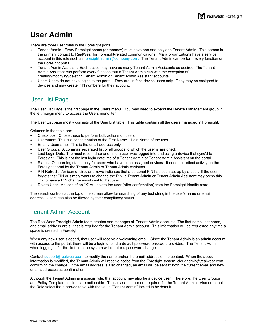# <span id="page-12-0"></span>**User Admin**

There are three user roles in the Foresight portal:

- Tenant Admin: Every Foresight space (or tenancy) must have one and only one Tenant Admin. This person is the primary contact to RealWear for Foresight-related communications. Many organizations have a service account in this role such as [foresight.admin@company.com.](mailto:foresight.admin@company.com.) The Tenant Admin can perform every function on the Foresight portal.
- Tenant Admin Assistant: Each space may have as many Tenant Admin Assistants as desired. The Tenant Admin Assistant can perform every function that a Tenant Admin can with the exception of creating/modifying/deleting Tenant Admin or Tenant Admin Assistant accounts.
- User: Users do not have logins to the portal. They are, in fact, device users only. They may be assigned to devices and may create PIN numbers for their account.

### <span id="page-12-1"></span>User List Page

The User List Page is the first page in the Users menu. You may need to expand the Device Management group in the left margin menu to access the Users menu item.

The User List page mostly consists of the User List table. This table contains all the users managed in Foresight.

Columns in the table are:

- Check box: Chose these to perform bulk actions on users
- Username: This is a concatenation of the First Name + Last Name of the user.
- Email / Username: This is the email address only.
- User Groups: A commas separated list of all groups to which the user is assigned.
- Last Login Date: The most recent date and time a user was logged into and using a device that sync'd to Foresight. This is not the last login datetime of a Tenant Admin or Tenant Admin Assistant on the portal.
- Status: Onboarding status only for users who have been assigned devices. It does not reflect activity on the Foresight portal by the Tenant Admin or Tenant Admin Assistant.
- PIN Refresh: An icon of circular arrows indicates that a personal PIN has been set up by a user. If the user forgets that PIN or simply wants to change the PIN, a Tenant Admin or Tenant Admin Assistant may press this link to have a PIN change email sent to that user.
- Delete User: An icon of an "X" will delete the user (after confirmation) from the Foresight identity store.

The search controls at the top of the screen allow for searching of any test string in the user's name or email address. Users can also be filtered by their compliancy status.

### <span id="page-12-2"></span>Tenant Admin Account

The RealWear Foresight Admin team creates and manages all Tenant Admin accounts. The first name, last name, and email address are all that is required for the Tenant Admin account. This information will be requested anytime a space is created in Foresight.

When any new user is added, that user will receive a welcoming email. Since the Tenant Admin is an admin account with access to the portal, there will be a login url and a default password password provided. The Tenant Admin, when logging in for the first time the system will require a password change.

Contact [support@realwear.com](mailto:support@realwear.com) to modify the name and/or the email address of the contact. When the account information is modified, the Tenant Admin will receive notice from the Foresight system, cloudadmin@realwear.com, confirming the change. If the email address is also changed, an email will be sent to both the current email and new email addresses as confirmation.

Although the Tenant Admin is a special role, that account may also be a device user. Therefore, the User Groups and Policy Template sections are actionable. These sections are not required for the Tenant Admin. Also note that the Role select list is non-editable with the value "Tenant Admin" locked in by default.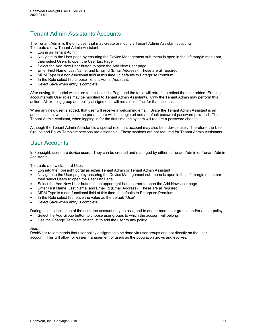### <span id="page-13-0"></span>Tenant Admin Assistants Accounts

The Tenant Admin is the only user that may create or modify a Tenant Admin Assistant accounts. To create a new Tenant Admin Assistant:

- Log in as Tenant Admin
- Navigate to the User page by ensuring the Device Management sub-menu is open in the left margin menu bar, then select Users to open the User List Page
- Select the Add New User button to open the Add New User page.
- Enter First Name, Last Name, and Email Id (Email Address). These are all required.
- MDM Type is a non-functional field at this time. It defaults to Enterprise Premium.
- In the Role select list, choose Tenant Admin Assistant.
- Select Save when entry is complete

After saving, the portal will return to the User List Page and the table will refresh to reflect the user added. Existing accounts with User roles may be modified to Tenant Admin Assistants. Only the Tenant Admin may perform this action. All existing group and policy assignments will remain in effect for that account.

When any new user is added, that user will receive a welcoming email. Since the Tenant Admin Assistant is an admin account with access to the portal, there will be a login url and a default password password provided. The Tenant Admin Assistant, when logging in for the first time the system will require a password change.

Although the Tenant Admin Assistant is a special role, that account may also be a device user. Therefore, the User Groups and Policy Template sections are actionable. These sections are not required for Tenant Admin Assistants.

### <span id="page-13-1"></span>User Accounts

In Foresight, users are device users. They can be created and managed by either at Tenant Admin or Tenant Admin Assistants.

To create a new standard User:

- Log into the Foresight portal as either Tenant Admin or Tenant Admin Assistant
- Navigate to the User page by ensuring the Device Management sub-menu is open in the left margin menu bar, then select Users to open the User List Page
- Select the Add New User button in the upper right-hand corner to open the Add New User page.
- Enter First Name, Last Name, and Email Id (Email Address). These are all required.
- MDM Type is a non-functional field at this time. It defaults to Enterprise Premium.
- In the Role select list, leave the value as the default "User".
- Select Save when entry is complete

During the initial creation of the user, the account may be assigned to one or more user groups and/or a user policy.

- Select the Add Group button to choose user groups to which the account will belong
- Use the Change Template select list to add the user to any policy.

#### *Note:*

RealWear recommends that user policy assignments be done via user groups and not directly on the user account. This will allow for easier management of users as the population grows and evolves.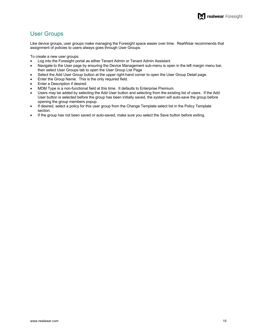### <span id="page-14-0"></span>User Groups

Like device groups, user groups make managing the Foresight space easier over time. RealWear recommends that assignment of policies to users always goes through User Groups.

To create a new user groups:

- Log into the Foresight portal as either Tenant Admin or Tenant Admin Assistant
- Navigate to the User page by ensuring the Device Management sub-menu is open in the left margin menu bar, then select User Groups tab to open the User Group List Page
- Select the Add User Group button at the upper right-hand corner to open the User Group Detail page.
- Enter the Group Name. This is the only required field.
- Enter a Description if desired.
- MDM Type is a non-functional field at this time. It defaults to Enterprise Premium.
- Users may be added by selecting the Add User button and selecting from the existing list of users. If the Add User button is selected before the group has been initially saved, the system will auto-save the group before opening the group members popup.
- If desired, select a policy for this user group from the Change Template select list in the Policy Template section.
- If the group has not been saved or auto-saved, make sure you select the Save button before exiting.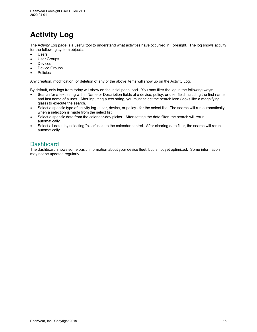# <span id="page-15-0"></span>**Activity Log**

The Activity Log page is a useful tool to understand what activities have occurred in Foresight. The log shows activity for the following system objects:

- **Users**
- User Groups
- **Devices**
- Device Groups
- **Policies**

Any creation, modification, or deletion of any of the above items will show up on the Activity Log.

By default, only logs from today will show on the initial page load. You may filter the log in the following ways:

- Search for a text string within Name or Description fields of a device, policy, or user field including the first name and last name of a user. After inputting a text string, you must select the search icon (looks like a magnifying glass) to execute the search.
- Select a specific type of activity log user, device, or policy for the select list. The search will run automatically when a selection is made from the select list.
- Select a specific date from the calendar-day picker. After setting the date filter, the search will rerun automatically.
- Select all dates by selecting "clear" next to the calendar control. After clearing date filter, the search will rerun automatically.

### <span id="page-15-1"></span>**Dashboard**

The dashboard shows some basic information about your device fleet, but is not yet optimized. Some information may not be updated regularly.